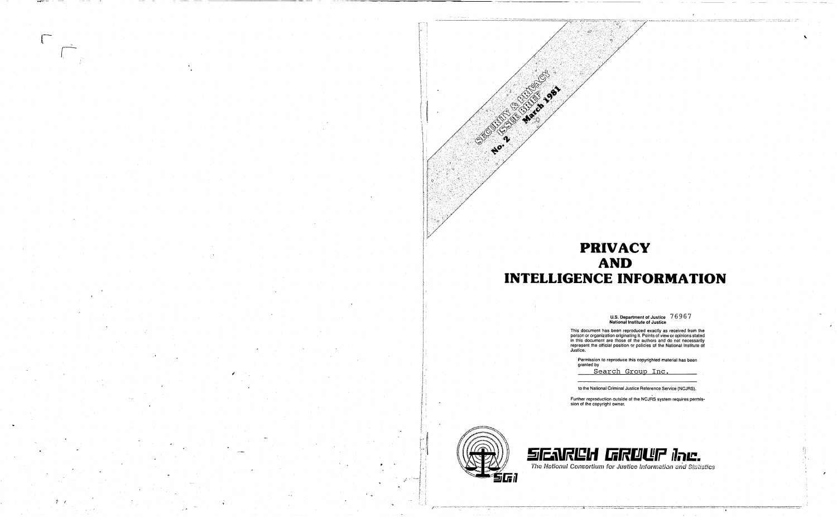

**Security Control**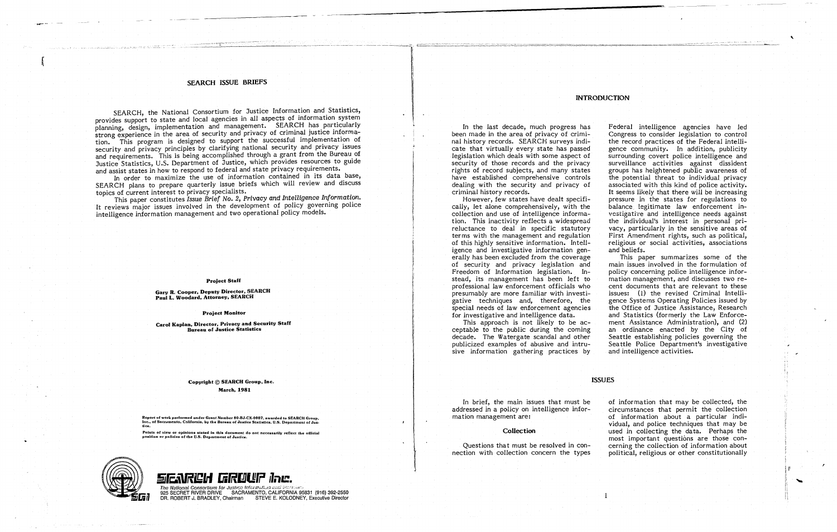# **SEARCH ISSUE BRIEFS**

SEARCH, the National Consortium for Justice Information and Statistics, provides support to state and local agencies in all aspects of information system planning, design, implementation and management. SEARCH has particularly strong experience in the area of security and privacy of criminal justice information. This program is designed to support the successful implementation of security and privacy principles by clarifying national security and privacy issues and requirements. This is being accomplished through a grant from the Bureau of Justice Statistics, U.S. Department of Justice, which provides resources to guide and assist states in how to respond to federal and state privacy requirements.

In order to maximize the use of information contained in its data base, SEARCH plans to prepare quarterly issue briefs which will review and discuss topics of current interest to privacy specialists.

This paper constitutes Issue Brief No. 2, Privacy and Intelligence Information. It reviews major issues involved in the development of policy governing police intelligence information management and two operational policy models.

#### **Project Staff**

Gary R. Cooper, Deputy Director, SEARCH Paul L. Woodard, Attorney, SEARCH

**Project Monitor** 

Carol Kaplan, Director, Privacy and Security Staff **Bureau of Justice Statistics** 

> Copyright © SEARCH Group, Inc. **March, 1981**

Report of work performed under Grant Number 80-BJ-CX-0007, awarded to SEARCH Group,<br>Inc., of Sacramento, California, by the Bureau of Justice Statistics, U.S. Department of Jus. fice.

Points of view or opinions stated in this document do not necessarily reflect the official position or policies of the U.S. Department of Justice.



SENRCH GRUUP Inc. The National Consortium for Justice Information and Statistan 925 SECRET RIVER DRIVE SACRAMENTO, CALIFORNIA 95831 (916) 392-2550 DR. ROBERT J. BRADLEY, Chairman STEVE E. KOLODNEY, Executive Director

In the last decade, much progress has been made in the area of privacy of criminal history records. SEARCH surveys indicate that virtually every state has passed legislation which deals with some aspect of security of those records and the privacy rights of record subjects, and many states have established comprehensive controls dealing with the security and privacy of criminal history records.

However, few states have dealt specifically, let alone comprehensively, with the collection and use of intelligence information. This inactivity reflects a widespread reluctance to deal in specific statutory terms with the management and regulation of this highly sensitive information. Intelligence and investigative information generally has been excluded from the coverage of security and privacy legislation and Freedom of Information legislation. Instead, its management has been left to professional law enforcement officials who presumably are more familiar with investigative techniques and, therefore, the special needs of law enforcement agencies for investigative and intelligence data. This approach is not likely to be acceptable to the public during the coming decade. The Watergate scandal and other publicized examples of abusive and intrusive information gathering practices by

In brief, the main issues that must be addressed in a policy on intelligence information management are:

# Collection

Questions that must be resolved in connection with collection concern the types

# **INTRODUCTION**

Federal intelligence agencies have led Congress to consider legislation to control the record practices of the Federal intelligence community. In addition, publicity surrounding covert police intelligence and surveillance activities against dissident groups has heightened public awareness of the potential threat to individual privacy associated with this kind of police activity. It seems likely that there will be increasing pressure in the states for regulations to balance legitimate law enforcement investigative and intelligence needs against the individual's interest in personal privacy, particularly in the sensitive areas of First Amendment rights, such as political, religious or social activities, associations and beliefs.

This paper summarizes some of the main issues involved in the formulation of policy concerning police intelligence information management, and discusses two recent documents that are relevant to these issues: (1) the revised Criminal Intelligence Systems Operating Policies issued by the Office of Justice Assistance, Research and Statistics (formerly the Law Enforcement Assistance Administration), and (2) an ordinance enacted by the City of Seattle establishing policies governing the Seattle Police Department's investigative and intelligence activities.

#### **ISSUES**

of information that may be collected, the circumstances that permit the collection of information about a particular individual, and police techniques that may be used in collecting the data. Perhaps the most important questions are those concerning the collection of information about political, religious or other constitutionally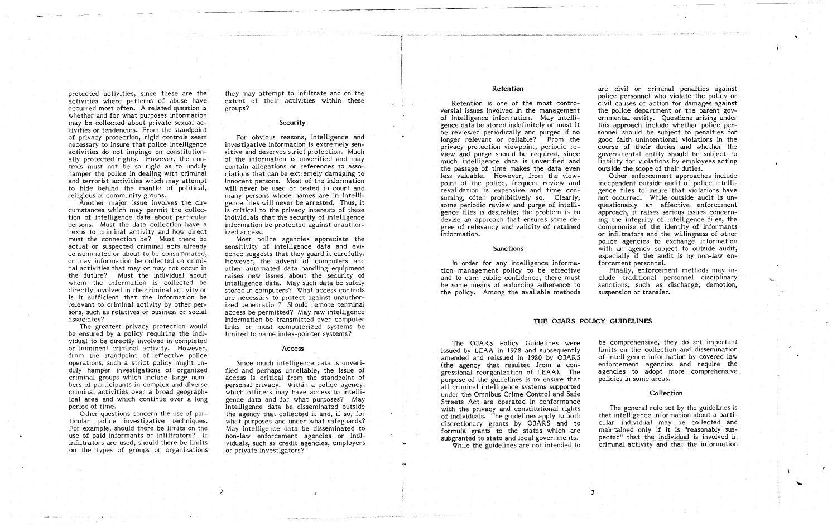protected activities, since these are the activities where patterns of abuse have occurred most often. A related question is whether and for what purposes information may be collected about private sexual activities or tendencies. From the standpoint of privacy protection, rigid controls seem necessary to insure that police intelligence activities do not impinge on constitutionally protected rights. However, the controls must not be so rigid as to unduly hamper the police in dealing with criminal and terrorist activities which may attempt to hide behind the mantle of political, religious or community groups.

Another major issue involves the circumstances which may permit the collection of intelligence data about particular persons. Must the data collection have a nexus to criminal activity and how direct must the connection be? Must there be actual or suspected criminal acts already consummated or about to be consummated, or may information be collected on criminal activities that mayor may not occur in the future? Must the individual about whom the information is collected be directly involved in the criminal activity or is it sufficient that the information be relevant to criminal activity by other persons, such as relatives or business or social associates?

The greatest privacy protection would be ensured by a policy requiring the individual to be directly involved in completed or imminent criminal activity. However, from the standpoint of effective police operations, such a strict policy might unduly hamper investigations of organized criminal groups which include large numbers of participants in complex and diverse criminal activities over a broad geographical area and which continue over a long period of time.

Other questions concern the use of particular police investigative techniques. For example, should there be limits on the use of paid informants or infiltrators? If infiltrators are used, should there be limits on the types of groups or organizations

they may attempt to infiltrate and on the extent of their activities within these groups?

# **Security**

For obvious reasons, intelligence and investigative information is extremely sensitive and deserves strict protection. Much of the information is unverified and may contain allegations or references to associations that can be extremely damaging to innocent persons. Most of the information will never be used or tested in court and many persons whose names are in intelligence files will never be arrested. Thus, it is critical to the privacy interests of these individuals that the security of intelligence information be protected against unauthorized access.

Most police agencies appreciate the sensitivity of intelligence data and evidence suggests that they guard it carefully. However, the advent of computers and other automated data handling equipment raises new issues about the security of intelligence data. May such data be safely stored in computers? What access controls are necessary to protect against unauthorized penetration? Should remote terminal access be permitted? May raw intelligence information be transmitted over computer links or must computerized systems be limited to name index-pointer systems?

#### Access

Since much intelligence data is unverified and perhaps unreliable, the issue of access is critical from the standpoint of personal privacy. Within a police agency, which officers may have access to intelligence data and for what purposes? May intelligence data be disseminated outside the agency that collected it and, if so, for what purposes and under what safeguards? May intelligence data be disseminated to non-law enforcement agencies or individuals, such as credit agencies, employers or private investigators?

.,..

# **Retention**

Retention *is* one of the most controversial issues involved in the management of intelligence information. May intelligence data be stored indefinitely or must *it*  be reviewed periodically and purged if no longer relevant or reliable? From the privacy protection viewpoint, periodic review and purge should be required, since much intelligence data is unverified and the passage of *time* makes the data even less valuable. However, from the viewpoint of the police, frequent review and revalidation is expensive and time consuming, often prohibitively so. Clearly, some periodic review and purge of intelligence files is desirable; the problem is to devise an approach that ensures some degree of relevancy and validity of retained information.

## **Sanctions**

In order for any intelligence information management policy to be effective and to earn public confidence, there must be some means of enforcing adherence to the policy. Among the available methods

are civil or criminal penalties against police personnel who violate the policy or civil causes of action for damages against the police department or the parent governmental entity. Questions arising under this approach include whether police personnel should be subject to penalties for good faith unintentional violations in the course of their duties and whether the governmental entity should be subject to liability for violations by employees acting outside the scope of their duties.

Other enforcement approaches include independent outside audit of police intelligence files to insure that violations have not occurred. While outside audit is unquestionably an effective enforcement approach, it raises serious issues concerning the integrity of intelligence files, the compromise of the identity of informants or infiltrators and the willingness of other police agencies to exchange information with an agency subject to outside audit, especially if the audit is by non-law enforcement personnel.

Finally, enforcement methods may include traditional personnel disciplinary sanctions, such as discharge, demotion, suspension or transfer.

#### **THE OJARS POLICY GUIDELINES**

The OJARS Policy Guidelines were issued by LEAA in 1978 and subsequently amended and reissued in 1980 by OJARS (the agency that resulted from a congressional reorganization of LEAA). The purpose of the guidelines is to ensure that all criminal intelligence systems supported under the Omnibus Crime Control and Safe Streets Act are operated in conformance with the privacy and constitutional rights of individuals. The guidelines apply to both discretionary grants by OJARS and to formula grants to the states which are subgranted to state and local governments. While the guidelines are not intended to

3

be comprehensive, they do set important limits on the collection and dissemination of intelligence information by covered law enforcement agencies and require the agencies to adopt more comprehensive policies in some areas.

# **Collection**

The general rule set by the guidelines is that intelligence information about a particular individual may be collected and maintained only if *it* is "reasonably suspected" that the individual is involved in criminal activity and that the information "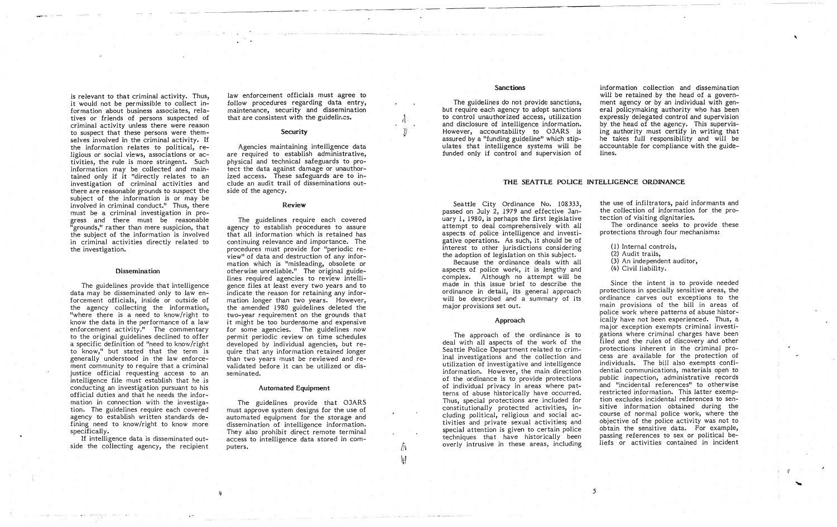is relevant to that criminal activity. Thus, it would not be permissible to collect information about business associates, relatives or friends of persons suspected of criminal activity unless there were reason to suspect that these persons were themselves involved in the criminal activity. If the information relates to political, religious or social views, associations or activities, the rule is more stringent. Such information may be collected and maintained only if it "directly relates to an investigation of criminal activities and there are reasonable grounds to suspect the subject of the information is or may be involved in criminal conduct." Thus, there must be a criminal investigation in progress and there must be reasonable "grounds," rather than mere suspicion, that the subject of the information is involved in criminal activities directly related to the investigation.

#### **Dissemination**

law enforcement officials must agree to follow procedures regarding data entry, maintenance, security and dissemination that are consistent with the guidelines.

# **Security**

The guidelines provide that intelligence data may be disseminated only to law enforcement officials, inside or outside of the agency collecting the information, "where there is a need to know/right to know the data in the performance of a law enforcement activity." The commentary to the original guidelines declined to offer a specific definition of "need to know/right to know," but stated that the term is generally understood in the law enforcement community to require that a criminal justice official requesting access to an intelligence file must establish that he is conducting an investigation pursuant to his official duties and that he needs the information in connection with the investigation. The guidelines require each covered agency to establish written standards defining need to know/right to know more specifically.

If intelligence data is disseminated outside the collecting agency, the recipient

4

Agencies maintaining intelligence data are required to establish administrative, physical and technical safeguards to protect the data against damage or unauthorized access. These safeguards are to include an audit trail of disseminations outside of the agency.

#### Review

The guidelines require each covered agency to establish procedures to assure that all information which is retained has continuing relevance and importance. The procedures must provide for "periodic review" of data and destruction of any informa tion which is "misleading, obsolete or otherwise unreliable." The original guidelines required agencies to review intelligence files at least every two years and to indicate the reason for retaining any information longer than two years. However, the amended 1980 guidelines deleted the two-year requirement on the grounds that it might be too burdensome and expensive for some agencies. The guidelines now permit periodic review on time schedules developed by individual agencies, but require that any information retained longer than two years must be reviewed and revalidated before it can be utilized or disseminated.

The ordinance seeks to provide these protections through four mechanisms:

# Automated Equipment

The guidelines provide that OJARS must approve system designs for the use of automated equipment for the storage and dissemination of intelligence information. They also prohibit direct remote terminal access to intelligence data stored in computers.

 $\int$  $\mathbb{R}^n$ 

# Sanctions

The guidelines do not provide sanctions, but require each agency to adopt sanctions to control unauthorized access, utilization and disclosure of intelligence information. However, accountability to OJARS is assured by a "funding guideline" which stipulates that intelligence systems will be funded only if control and supervision of

information collection and dissemination will be retained by the head of a government agency or by an individual with general policy making authority who has been expressly delegated control and supervision by the head of the agency. This supervising authority must certify in writing that he takes full responsibility and will be accountable for compliance with the guidelines.

# THE SEATTLE POLICE INTELLIGENCE ORDINANCE

Seattle City Ordinance No. 108333, passed on July 2, 1979 and effective January 1, 1980, is perhaps the first legislative attempt to deal comprehensively with all aspects of police intelligence and investigative operations. As such, it should be of interest to other jurisdictions considering the adoption of legislation on this subject.

Because the ordinance deals with all aspects of police work, it is lengthy and complex. Although no attempt will be made in this issue brief to describe the ordinance in detail, its general approach will be described and a summary of its major provisions set out.

# Approach

The approach of the ordinance is to deal with all aspects of the work of the Seattle Police Department related to criminal investigations and the collection and utilization of investigative and intelligence information. However, the main direction of the ordinance is to provide protections of individual privacy in areas where patterns of abuse historically have occurred. Thus, special protections are included for constitutionally protected activities, including political, religious and social activities and private sexual activities; and special attention is given to certain police techniques that have historically been overly intrusive in these areas, including

5

the use of infiltrators, paid informants and the collection of information for the protection of visiting dignitaries.

(1) Internal controls,

(2) Audit trails,

(3) An independent auditor,

(4) Civil liability.

Since the intent is to provide needed protections in specially sensitive areas, the ordinance carves out exceptions to the main provisions of the bill in areas of police work where patterns of abuse historically have not been experienced. Thus, a major exception exempts criminal investigations where criminal charges have been filed and the rules of discovery and other protections inherent in the criminal process are available for the protection of individuals. The bill also exempts confidential communications, materials open to public inspection, administrative records and "incidental references" to otherwise restricted information. This latter exemption excludes incidental references to sensitive information obtained during the course of normal police work, where the objective of the police activity was not to obtain the sensitive data. For example, passing references to sex or political beliefs or activities contained in incident

,

 $\frac{1}{\epsilon}$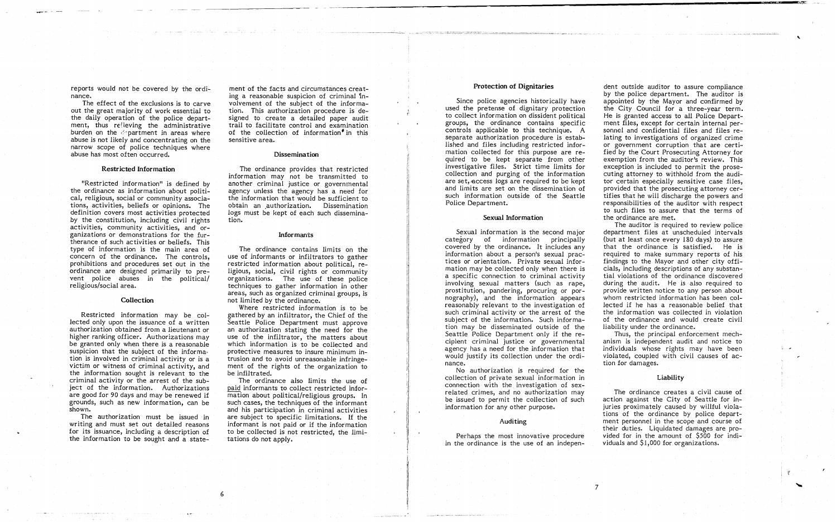"""""""' .... <sup>~</sup> -

> reports would not be covered by the ordInance.

The effect of the exclusions is to carve out the great majority of work essential to the daily operation of the police department, thus relieving the administrative burden on the  $\mathcal{L}$  partment in areas where abuse is not likely and concentrating on the narrow scope of police techniques where abuse has most often occurred.

## Restricted Information

"Restricted information" is defined by the ordinance as information about political, religious, social or community associations, activities, beliefs or opinions. The definition covers most activities protected by the constitution, including civil rights activities, community activities, and organizations or demonstrations for the furtherance of such activities or beliefs. This type of information is the main area of concern of the ordinance. The controls, prohibitions and procedures set out in the ordinance are designed primarily to prevent police abuses in the political/ religious/social area.

# **Collection**

Restricted information may be collected only upon the issuance of a written authorization obtained from a lieutenant or higher ranking officer. Authorizations may be granted only when there is a reasonable suspicion that the subject of the information is involved in criminal activity or is a victim or witness of criminal activity, and the information sought is relevant to the criminal activity or the arrest of the subject of the information. Authorizations are good for 90 days and may be renewed if grounds, such as new information, can be shown.

The authorization must be issued in writing and must set out detailed reasons for its issuance, including a description of the information to be sought and a state-

6

ment of the facts and circumstances creating a reasonable suspicion of criminal  $\ln$ volvement of the subject of the information. This authorization procedure is designed to create a detailed paper audit trail to facilitate control and examination of the collection of information in this sensitive area.

### **Dissemination**

The ordinance provides that restricted information may not be transmitted to another criminal justice or governmental agency unless the agency has a need for the information that would be sufficient to obtain an authorization. Dissemination logs must be kept of each such dissemination.

### Informants

The ordinance contains *limits* on the use of informants or infiltrators to gather restricted information about political, religious, social, *civil* rights or community organizations. The use of these police techniques to gather information in other areas, such as organized criminal groups, is not limited by the ordinance.

Where restricted information *is* to be gathered by an infiltrator, the Chief of the Seattle Police Department must approve an authorization stating the need for the use of the infiltrator, the matters about which information is to be collected and protective measures to insure minimum *in*trusion and to avoid unreasonable infringement of the rights of the organization to be infiltrated.

The ordinance also limits the use of paid informants to collect restricted information about political/religious groups. In such cases, the techniques of the informant and *his* participation in criminal activities are subject to specific limitations. If the informant is not paid or if the information to be collected *is* not restricted, the limitations do not apply.

The ordinance creates a civil cause of action against the *City* of Seattle for injuries proximately caused by willful violations of the ordinance by police department personnel in the scope and course of their duties. Liquidated damages are provided for in the amount of \$500 for individuals and  $$1,000$  for organizations.

i\ I, 'i I d Ij

1 II [1

۰.

 $\Delta$ 

## Protection of Dignitaries

Since police agencies historically have used the pretense of dignitary protection to collect information on dissident political groups, the ordinance contains specific controls applicable to this technique. A separate authorization procedure *is* established and files including restricted information collected for this purpose are required to be kept separate from other investigative files. Strict *time* limits for collection and purging of the information are set, access logs are required to be kept. and limits are set on the dissemination of such information outside of the Seattle Police Department.

## Sexual Information

Sexual information is the second major category of information principally covered by the ordinance. It includes any information about a person's sexual practices or orientation. Private sexual information may be collected only when there is a specific connection to criminal activity involving sexual matters (such as rape, prostitution, pandering, procuring or pornography), and the information appears reasonably relevant to the investigation of such criminal activity or the arrest of the subject of the information. Such information may be disseminated outside of the Seattle Police Department only if the recipient criminal justice or governmental agency has a need for the information that would justify its collection under the ordinance.

No authorization is required for the collection of private sexual information in connection with the investigation of sexrelated crimes, and no authorization may be issued to permit the collection of such information for any other purpose.

#### Auditing

Perhaps the most innovative procedure in the ordinance is the use of an indepen-

7

dent outside auditor to assure compliance by the police department. The auditor is appointed by the Mayor and confirmed by the City Council for a three-year term. He is granted access to all Police Department files, except for certain internal personnel and confidential files and files relating to investigations of organized crime or government corruption that are certified by the Court Prosecuting Attorney for exemption from the auditor's review. This exception *is* included to permit the prosecuting attorney to withhold from the auditor certain especially sensitive case files, provided that the prosecuting attorney certifies that he will discharge the powers and responsibilities of the auditor with respect to such files to assure that the terms of the ordinance are met.

The auditor *is* required to review police department files at unscheduled intervals (but at least once every 180 days) to assure that the ordinance *is* satisfied. He is required to make summary reports of his findings to the Mayor and other city officials, including descriptions of any substantial violations of the ordinance discovered during the audit. He is also required to provide written notice to any person about whom restricted information has been collected if he has a reasonable belief that the information was collected in violation of the ordinance and would create civil liability under the ordinance.

Thus, the principal enforcement mechanism *is* independent audit and notice to individuals whose rights may have been violated, coupled with civil causes of action for damages.

# Liability

: I'

,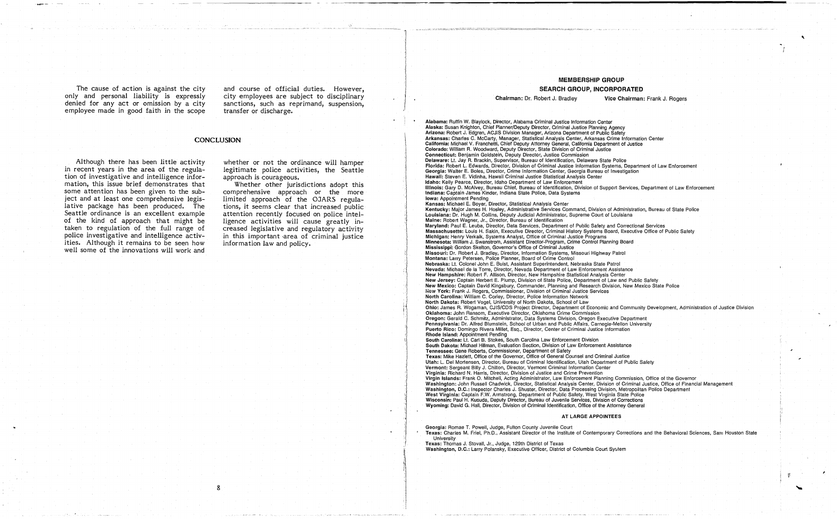The cause of action *is* against the city only and personal liability is expressly denied for any act or omission by a city employee made in good faith in the scope and course of official duties. However, city employees are subject to disciplinary sanctions, such as reprimand, suspension, transfer or discharge.

# **CONCLUSION**

Although there has been little activity in recent years in the area of the regulation of investigative and intelligence information, this issue brief demonstrates that some attention has been given to the subject and at least one comprehensive legislative package has been produced. The Seattle ordinance is an excellent example of the kind of approach that might be taken to regulation of the full range of police investigative and intelligence activities. Although *it* remains to be seen how well some of the innovations will work and

whether or not the ordinance will hamper legitimate police activities, the Seattle approach is courageous.

Whether other jurisdictions adopt this comprehensive approach or the more limited approach of the OJARS regulations, it seems clear that increased public attention recently focused on police intelligence activities *will* cause greatly increased legislative and regulatory activity in this important ·area of criminal justice information law and policy.

# MEMBERSHIP GROUP

# SEARCH GROUP, INCORPORATED

Chairman: Dr. Robert J. Bradley Vice Chairman: Frank J. Rogers

Texas: Thomas J. Stovall, Jr., Judge, 129th District of Texas Washington, D.C.: Larry Polansky, Executive Officer, District of Columbia Court System

Alabama: Ruffin W. Blaylock, Director, Alabama Criminal Justice Information Center Arkansas: Charles C. McCarty, Manager, Statistical Analysis Center, Arkansas Crime Information Center California: Michael V. Franchetti, Chief Deputy Attorney General, California Department of Justice Colorado: William R. Woodward, Deputy Director, State Division of Criminal Justice Kansas: Michael E. Boyer, Director, Statistical Analysis Center Kentucky: Major James H. Hosley, Administrative Services Command, Division of Administration, Bureau of State Police Maine: Robert Wagner, Jr., Director, Bureau of Identification Oregon: Gerald C. Schmitz, Administrator, Data Systems Division, Oregon Executive Department South Carolina: Lt. Carl B. Stokes, South Carolina Law Enforcement Division South Dakota: Michael Hillman, Evaluation Section, Division of Law Enforcement Assistance Texas: Mike Hazlett, Office of the Governor, Office of General Counsel and Criminal Justice Vermont: Sergeant Billy J. Chillon, Director, Vermont Criminal Information Center Virginia: Richard N. Harris, Director, Division of Justice and Crime Prevention Virgin Islands: Frank O. Mitchell, Acting Administrator, Law Enforcement Planning Commission, Office of the Governor Washington: John Russell Chadwick, Director, Statistical Analysis Center, Division of Criminal Justice, Office of Financial Management West Virginia: Captain F.W. Armstrong, Department of Public Safety, West Virginia State Police Wisconsin: Paul H. Kusuda, Deputy Director, Bureau of Juvenile Services, Division of Corrections Wyoming: David G. Hall, Director, Division of Criminal Identification, Office of the Attorney General AT LARGE APPOINTEES

Alaska: Susan Knighton, Chief Planner/Deputy Director, Criminal Justice Planning Agency Arizona: Robert J. Edgren, ACJIS Division Manager, Arizona Department of Public Safety Connecticut: Benjamin Goldstein, Deputy Director, Justice Commission Delaware: Lt. Jay R. Brackin, Supervisor, Bureau of Identification, Delaware State Police Florida: Robert L Edwards, Director, Division of Criminal Justice Information Systems, Department of Law Enforcement Georgia: Walter E. Boles, Director, Crime Information Center, Georgia Bureau of Investigation Hawaii: Steven E. Vidinha, Hawaii Criminal Justice Statistical Analysis Center Idaho: Kelly pearce, Director, Idaho Department of Law Enforcement Illinois: Gary D. McAlvey, Bureau Chief, Bureau of Identification, Division of Support Services, Department of Law Enforcement !ndlana: Captain James Kinder, Indiana State Police, Data Systems Iowa: Appointment Pending Louisiana: Dr. Hugh M. Collins, Deputy Judicial Administrator, Supreme Court of Louisiana Maryland: Paul E. Leuba, Director, Data Services, Department of Public Safety and Correctional Services Massachusetts: Louis H. Sakin, Executive Director, Criminal History Systems Board, Executive Office of Public Safety Michigan: Henry Verkaik, Systems Analyst, Office of Criminal Justice Programs Minnesota: William J. Swanstrom, Assistant Director-Program, Crime Control Planning Board Mississippi: Gordon Skelton, Governor's Office of Criminal Justice Missouri: Dr. Robert J. Bradley, Director, Information Systems, Missouri Highway Patrol Montana: Larry Petersen, Police Planner, Board of Crime Control Nebraska: Lt. Colonel John E. Buist, Assistant Superintendent, Nebraska State Patrol Nevada: Michael de la Torre, Director, Nevada Department of Law Enforcement Assistance New Hampshire: Robert F. Allison, Director, New Hampshire Statistical Analysis Center New Jersey: Captain Herbert E. Plump, Division of State Police, Department of Law and Public Safety New Mexico: Captain David Kingsbury, Commander, Planning and Research Division, New Mexico State Police New York: Frank J. Rogers, Commissioner, Division of Criminal Justice Services North Carolina: William C. Corley, Director, Police Information Network North Dakota: Robert Vogel, University of North Dakota, School of Law Ohio: James R. Wogaman, CJIS/CDS Project Director, Department of Economic and Community Development, Administration of Justice Division Oklahoma: John Ransom, Executive Director, Oklahoma Crime Commission Pennsylvania: Dr. Alfred Blumstein, School of Urban and Public Affairs, Carnegie-Mellon University Puerto Rico: Domingo Rivera Millet, Esq., Director, Center of Criminal Justice Information Rhode Island: Appointment Pending Tennessee: Gene Roberts, Commissioner, Department of Safety Utah: L. Del Mortensen, Director, Bureau of Criminal Identification, Utah Department of Public Safety Washington, D.C.: Inspector Charles J. Shuster, Director, Data Processing Division, Metropolitan Police Department Georgia: Romae T. Powell, Judge, Fulton County Juvenile Court

Texas: Charles M. Friel, Ph.D., Assistant Director of the Institute of Contemporary Corrections and the Behavioral Sciences, Sam Houston State University

,

 $\mathfrak{g}=\frac{1}{2}+\frac{1}{2}+\frac{1}{2}+\frac{1}{2}+\frac{1}{2}+\frac{1}{2}+\frac{1}{2}+\frac{1}{2}+\frac{1}{2}+\frac{1}{2}+\frac{1}{2}+\frac{1}{2}+\frac{1}{2}+\frac{1}{2}+\frac{1}{2}+\frac{1}{2}+\frac{1}{2}+\frac{1}{2}+\frac{1}{2}+\frac{1}{2}+\frac{1}{2}+\frac{1}{2}+\frac{1}{2}+\frac{1}{2}+\frac{1}{2}+\frac{1}{2}+\frac{1}{2}+\frac{1}{2}+\frac{1}{2}+\frac{1}{2}+\frac{$